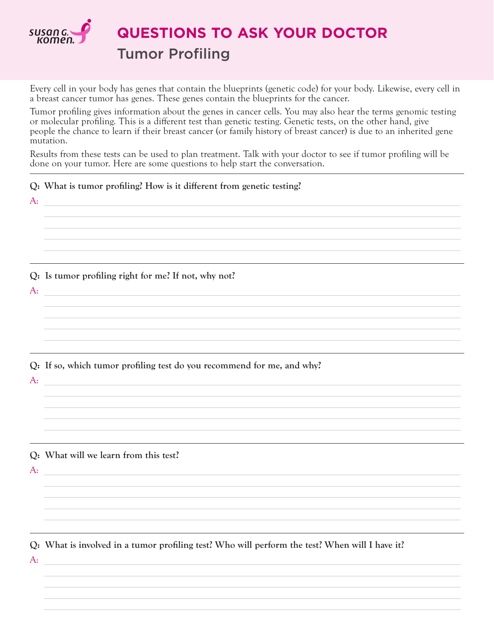

**QUESTIONS TO ASK YOUR DOCTOR Tumor Profiling** 

Every cell in your body has genes that contain the blueprints (genetic code) for your body. Likewise, every cell in a breast cancer tumor has genes. These genes contain the blueprints for the cancer.

Tumor profiling gives information about the genes in cancer cells. You may also hear the terms genomic testing or molecular profiling. This is a different test than genetic testing. Genetic tests, on the other hand, give people the chance to learn if their breast cancer (or family history of breast cancer) is due to an inherited gene mutation.

Results from these tests can be used to plan treatment. Talk with your doctor to see if tumor profiling will be done on your tumor. Here are some questions to help start the conversation.

Q: What is tumor profiling? How is it different from genetic testing?

|       | Q: Is tumor profiling right for me? If not, why not? |  |  |
|-------|------------------------------------------------------|--|--|
| $A$ : |                                                      |  |  |
|       |                                                      |  |  |
|       |                                                      |  |  |
|       |                                                      |  |  |
|       |                                                      |  |  |

 $Q:$  If so, which tumor profiling test do you recommend for me, and why?

A:

A:

 $A<sub>1</sub>$ 

Q: What will we learn from this test?

Q: What is involved in a tumor profiling test? Who will perform the test? When will I have it? A: